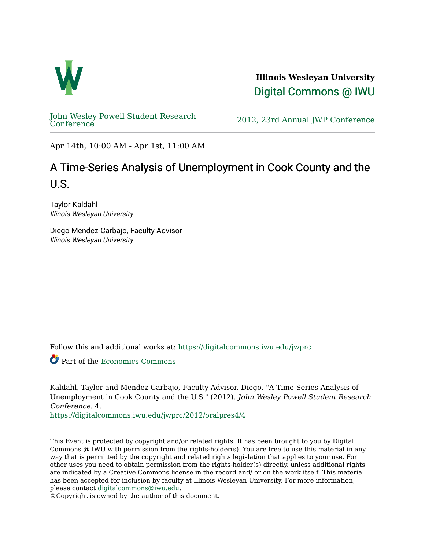

**Illinois Wesleyan University**  [Digital Commons @ IWU](https://digitalcommons.iwu.edu/) 

[John Wesley Powell Student Research](https://digitalcommons.iwu.edu/jwprc) 

2012, 23rd Annual JWP [Conference](https://digitalcommons.iwu.edu/jwprc)

Apr 14th, 10:00 AM - Apr 1st, 11:00 AM

## A Time-Series Analysis of Unemployment in Cook County and the U.S.

Taylor Kaldahl Illinois Wesleyan University

Diego Mendez-Carbajo, Faculty Advisor Illinois Wesleyan University

Follow this and additional works at: [https://digitalcommons.iwu.edu/jwprc](https://digitalcommons.iwu.edu/jwprc?utm_source=digitalcommons.iwu.edu%2Fjwprc%2F2012%2Foralpres4%2F4&utm_medium=PDF&utm_campaign=PDFCoverPages) 

Part of the [Economics Commons](http://network.bepress.com/hgg/discipline/340?utm_source=digitalcommons.iwu.edu%2Fjwprc%2F2012%2Foralpres4%2F4&utm_medium=PDF&utm_campaign=PDFCoverPages) 

Kaldahl, Taylor and Mendez-Carbajo, Faculty Advisor, Diego, "A Time-Series Analysis of Unemployment in Cook County and the U.S." (2012). John Wesley Powell Student Research Conference. 4.

[https://digitalcommons.iwu.edu/jwprc/2012/oralpres4/4](https://digitalcommons.iwu.edu/jwprc/2012/oralpres4/4?utm_source=digitalcommons.iwu.edu%2Fjwprc%2F2012%2Foralpres4%2F4&utm_medium=PDF&utm_campaign=PDFCoverPages)

This Event is protected by copyright and/or related rights. It has been brought to you by Digital Commons @ IWU with permission from the rights-holder(s). You are free to use this material in any way that is permitted by the copyright and related rights legislation that applies to your use. For other uses you need to obtain permission from the rights-holder(s) directly, unless additional rights are indicated by a Creative Commons license in the record and/ or on the work itself. This material has been accepted for inclusion by faculty at Illinois Wesleyan University. For more information, please contact [digitalcommons@iwu.edu.](mailto:digitalcommons@iwu.edu)

©Copyright is owned by the author of this document.